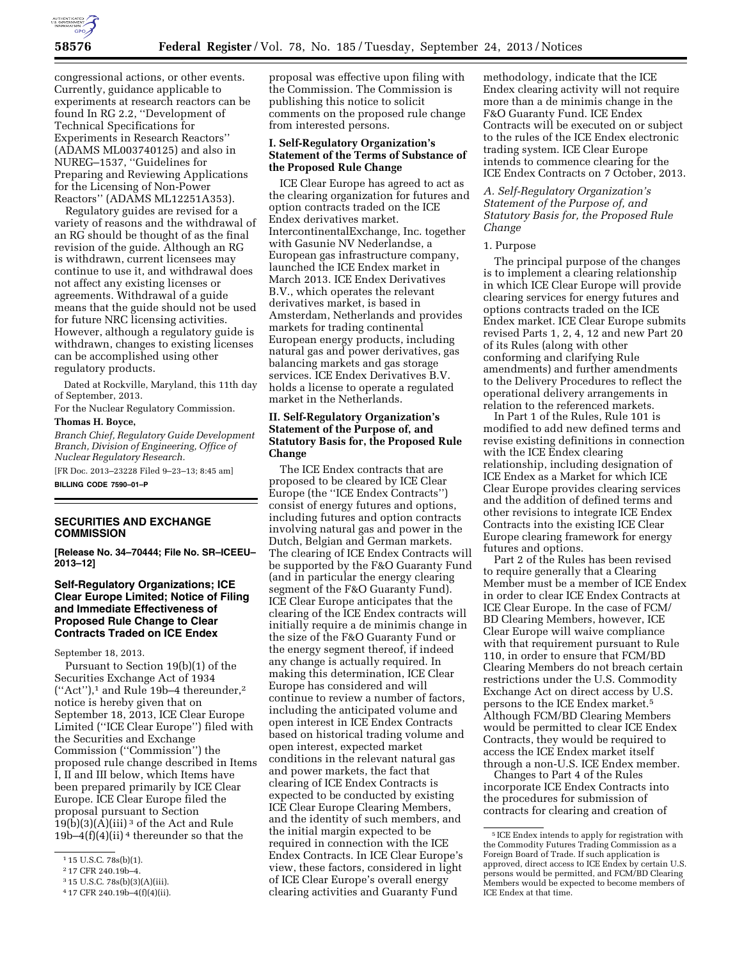

congressional actions, or other events. Currently, guidance applicable to experiments at research reactors can be found In RG 2.2, ''Development of Technical Specifications for Experiments in Research Reactors'' (ADAMS ML003740125) and also in NUREG–1537, ''Guidelines for Preparing and Reviewing Applications for the Licensing of Non-Power Reactors'' (ADAMS ML12251A353).

Regulatory guides are revised for a variety of reasons and the withdrawal of an RG should be thought of as the final revision of the guide. Although an RG is withdrawn, current licensees may continue to use it, and withdrawal does not affect any existing licenses or agreements. Withdrawal of a guide means that the guide should not be used for future NRC licensing activities. However, although a regulatory guide is withdrawn, changes to existing licenses can be accomplished using other regulatory products.

Dated at Rockville, Maryland, this 11th day of September, 2013.

For the Nuclear Regulatory Commission.

# **Thomas H. Boyce,**

*Branch Chief, Regulatory Guide Development Branch, Division of Engineering, Office of Nuclear Regulatory Research.* 

[FR Doc. 2013–23228 Filed 9–23–13; 8:45 am] **BILLING CODE 7590–01–P** 

# **SECURITIES AND EXCHANGE COMMISSION**

**[Release No. 34–70444; File No. SR–ICEEU– 2013–12]** 

## **Self-Regulatory Organizations; ICE Clear Europe Limited; Notice of Filing and Immediate Effectiveness of Proposed Rule Change to Clear Contracts Traded on ICE Endex**

September 18, 2013.

Pursuant to Section 19(b)(1) of the Securities Exchange Act of 1934  $("Act")$ ,<sup>1</sup> and Rule 19b–4 thereunder,<sup>2</sup> notice is hereby given that on September 18, 2013, ICE Clear Europe Limited (''ICE Clear Europe'') filed with the Securities and Exchange Commission (''Commission'') the proposed rule change described in Items I, II and III below, which Items have been prepared primarily by ICE Clear Europe. ICE Clear Europe filed the proposal pursuant to Section  $19(b)(3)(A)(iii)$ <sup>3</sup> of the Act and Rule  $19b-4(f)(4)(ii)$ <sup>4</sup> thereunder so that the

proposal was effective upon filing with the Commission. The Commission is publishing this notice to solicit comments on the proposed rule change from interested persons.

#### **I. Self-Regulatory Organization's Statement of the Terms of Substance of the Proposed Rule Change**

ICE Clear Europe has agreed to act as the clearing organization for futures and option contracts traded on the ICE Endex derivatives market. IntercontinentalExchange, Inc. together with Gasunie NV Nederlandse, a European gas infrastructure company, launched the ICE Endex market in March 2013. ICE Endex Derivatives B.V., which operates the relevant derivatives market, is based in Amsterdam, Netherlands and provides markets for trading continental European energy products, including natural gas and power derivatives, gas balancing markets and gas storage services. ICE Endex Derivatives B.V. holds a license to operate a regulated market in the Netherlands.

## **II. Self-Regulatory Organization's Statement of the Purpose of, and Statutory Basis for, the Proposed Rule Change**

The ICE Endex contracts that are proposed to be cleared by ICE Clear Europe (the ''ICE Endex Contracts'') consist of energy futures and options, including futures and option contracts involving natural gas and power in the Dutch, Belgian and German markets. The clearing of ICE Endex Contracts will be supported by the F&O Guaranty Fund (and in particular the energy clearing segment of the F&O Guaranty Fund). ICE Clear Europe anticipates that the clearing of the ICE Endex contracts will initially require a de minimis change in the size of the F&O Guaranty Fund or the energy segment thereof, if indeed any change is actually required. In making this determination, ICE Clear Europe has considered and will continue to review a number of factors, including the anticipated volume and open interest in ICE Endex Contracts based on historical trading volume and open interest, expected market conditions in the relevant natural gas and power markets, the fact that clearing of ICE Endex Contracts is expected to be conducted by existing ICE Clear Europe Clearing Members, and the identity of such members, and the initial margin expected to be required in connection with the ICE Endex Contracts. In ICE Clear Europe's view, these factors, considered in light of ICE Clear Europe's overall energy clearing activities and Guaranty Fund

methodology, indicate that the ICE Endex clearing activity will not require more than a de minimis change in the F&O Guaranty Fund. ICE Endex Contracts will be executed on or subject to the rules of the ICE Endex electronic trading system. ICE Clear Europe intends to commence clearing for the ICE Endex Contracts on 7 October, 2013.

*A. Self-Regulatory Organization's Statement of the Purpose of, and Statutory Basis for, the Proposed Rule Change* 

#### 1. Purpose

The principal purpose of the changes is to implement a clearing relationship in which ICE Clear Europe will provide clearing services for energy futures and options contracts traded on the ICE Endex market. ICE Clear Europe submits revised Parts 1, 2, 4, 12 and new Part 20 of its Rules (along with other conforming and clarifying Rule amendments) and further amendments to the Delivery Procedures to reflect the operational delivery arrangements in relation to the referenced markets.

In Part 1 of the Rules, Rule 101 is modified to add new defined terms and revise existing definitions in connection with the ICE Endex clearing relationship, including designation of ICE Endex as a Market for which ICE Clear Europe provides clearing services and the addition of defined terms and other revisions to integrate ICE Endex Contracts into the existing ICE Clear Europe clearing framework for energy futures and options.

Part 2 of the Rules has been revised to require generally that a Clearing Member must be a member of ICE Endex in order to clear ICE Endex Contracts at ICE Clear Europe. In the case of FCM/ BD Clearing Members, however, ICE Clear Europe will waive compliance with that requirement pursuant to Rule 110, in order to ensure that FCM/BD Clearing Members do not breach certain restrictions under the U.S. Commodity Exchange Act on direct access by U.S. persons to the ICE Endex market.5 Although FCM/BD Clearing Members would be permitted to clear ICE Endex Contracts, they would be required to access the ICE Endex market itself through a non-U.S. ICE Endex member.

Changes to Part 4 of the Rules incorporate ICE Endex Contracts into the procedures for submission of contracts for clearing and creation of

<sup>1</sup> 15 U.S.C. 78s(b)(1).

<sup>2</sup> 17 CFR 240.19b–4.

<sup>3</sup> 15 U.S.C. 78s(b)(3)(A)(iii).

<sup>4</sup> 17 CFR 240.19b–4(f)(4)(ii).

<sup>5</sup> ICE Endex intends to apply for registration with the Commodity Futures Trading Commission as a Foreign Board of Trade. If such application is approved, direct access to ICE Endex by certain U.S. persons would be permitted, and FCM/BD Clearing Members would be expected to become members of ICE Endex at that time.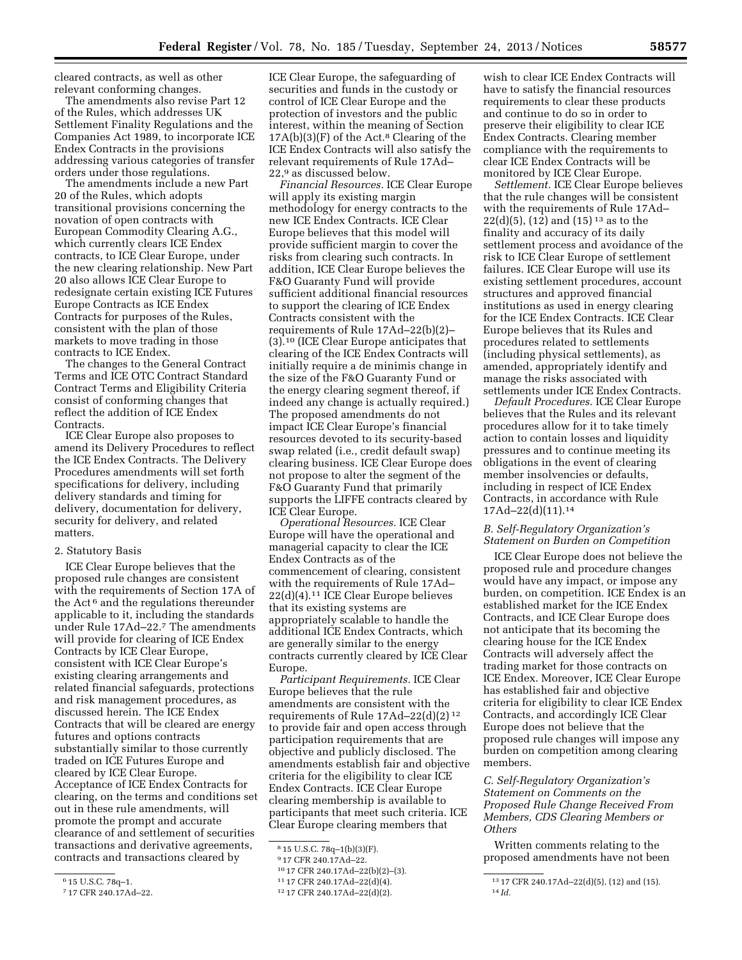cleared contracts, as well as other relevant conforming changes.

The amendments also revise Part 12 of the Rules, which addresses UK Settlement Finality Regulations and the Companies Act 1989, to incorporate ICE Endex Contracts in the provisions addressing various categories of transfer orders under those regulations.

The amendments include a new Part 20 of the Rules, which adopts transitional provisions concerning the novation of open contracts with European Commodity Clearing A.G., which currently clears ICE Endex contracts, to ICE Clear Europe, under the new clearing relationship. New Part 20 also allows ICE Clear Europe to redesignate certain existing ICE Futures Europe Contracts as ICE Endex Contracts for purposes of the Rules, consistent with the plan of those markets to move trading in those contracts to ICE Endex.

The changes to the General Contract Terms and ICE OTC Contract Standard Contract Terms and Eligibility Criteria consist of conforming changes that reflect the addition of ICE Endex Contracts.

ICE Clear Europe also proposes to amend its Delivery Procedures to reflect the ICE Endex Contracts. The Delivery Procedures amendments will set forth specifications for delivery, including delivery standards and timing for delivery, documentation for delivery, security for delivery, and related matters.

#### 2. Statutory Basis

ICE Clear Europe believes that the proposed rule changes are consistent with the requirements of Section 17A of the Act 6 and the regulations thereunder applicable to it, including the standards under Rule 17Ad–22.7 The amendments will provide for clearing of ICE Endex Contracts by ICE Clear Europe, consistent with ICE Clear Europe's existing clearing arrangements and related financial safeguards, protections and risk management procedures, as discussed herein. The ICE Endex Contracts that will be cleared are energy futures and options contracts substantially similar to those currently traded on ICE Futures Europe and cleared by ICE Clear Europe. Acceptance of ICE Endex Contracts for clearing, on the terms and conditions set out in these rule amendments, will promote the prompt and accurate clearance of and settlement of securities transactions and derivative agreements, contracts and transactions cleared by

ICE Clear Europe, the safeguarding of securities and funds in the custody or control of ICE Clear Europe and the protection of investors and the public interest, within the meaning of Section  $17A(b)(3)(F)$  of the Act.<sup>8</sup> Clearing of the ICE Endex Contracts will also satisfy the relevant requirements of Rule 17Ad– 22,9 as discussed below.

*Financial Resources.* ICE Clear Europe will apply its existing margin methodology for energy contracts to the new ICE Endex Contracts. ICE Clear Europe believes that this model will provide sufficient margin to cover the risks from clearing such contracts. In addition, ICE Clear Europe believes the F&O Guaranty Fund will provide sufficient additional financial resources to support the clearing of ICE Endex Contracts consistent with the requirements of Rule 17Ad–22(b)(2)– (3).10 (ICE Clear Europe anticipates that clearing of the ICE Endex Contracts will initially require a de minimis change in the size of the F&O Guaranty Fund or the energy clearing segment thereof, if indeed any change is actually required.) The proposed amendments do not impact ICE Clear Europe's financial resources devoted to its security-based swap related (i.e., credit default swap) clearing business. ICE Clear Europe does not propose to alter the segment of the F&O Guaranty Fund that primarily supports the LIFFE contracts cleared by ICE Clear Europe.

*Operational Resources.* ICE Clear Europe will have the operational and managerial capacity to clear the ICE Endex Contracts as of the commencement of clearing, consistent with the requirements of Rule 17Ad– 22(d)(4).11 ICE Clear Europe believes that its existing systems are appropriately scalable to handle the additional ICE Endex Contracts, which are generally similar to the energy contracts currently cleared by ICE Clear Europe.

*Participant Requirements.* ICE Clear Europe believes that the rule amendments are consistent with the requirements of Rule 17Ad–22(d)(2) 12 to provide fair and open access through participation requirements that are objective and publicly disclosed. The amendments establish fair and objective criteria for the eligibility to clear ICE Endex Contracts. ICE Clear Europe clearing membership is available to participants that meet such criteria. ICE Clear Europe clearing members that

wish to clear ICE Endex Contracts will have to satisfy the financial resources requirements to clear these products and continue to do so in order to preserve their eligibility to clear ICE Endex Contracts. Clearing member compliance with the requirements to clear ICE Endex Contracts will be monitored by ICE Clear Europe.

*Settlement.* ICE Clear Europe believes that the rule changes will be consistent with the requirements of Rule 17Ad–  $22(d)(5)$ ,  $(12)$  and  $(15)$  <sup>13</sup> as to the finality and accuracy of its daily settlement process and avoidance of the risk to ICE Clear Europe of settlement failures. ICE Clear Europe will use its existing settlement procedures, account structures and approved financial institutions as used in energy clearing for the ICE Endex Contracts. ICE Clear Europe believes that its Rules and procedures related to settlements (including physical settlements), as amended, appropriately identify and manage the risks associated with settlements under ICE Endex Contracts.

*Default Procedures.* ICE Clear Europe believes that the Rules and its relevant procedures allow for it to take timely action to contain losses and liquidity pressures and to continue meeting its obligations in the event of clearing member insolvencies or defaults, including in respect of ICE Endex Contracts, in accordance with Rule 17Ad–22(d)(11).14

#### *B. Self-Regulatory Organization's Statement on Burden on Competition*

ICE Clear Europe does not believe the proposed rule and procedure changes would have any impact, or impose any burden, on competition. ICE Endex is an established market for the ICE Endex Contracts, and ICE Clear Europe does not anticipate that its becoming the clearing house for the ICE Endex Contracts will adversely affect the trading market for those contracts on ICE Endex. Moreover, ICE Clear Europe has established fair and objective criteria for eligibility to clear ICE Endex Contracts, and accordingly ICE Clear Europe does not believe that the proposed rule changes will impose any burden on competition among clearing members.

*C. Self-Regulatory Organization's Statement on Comments on the Proposed Rule Change Received From Members, CDS Clearing Members or Others* 

Written comments relating to the proposed amendments have not been

<sup>6</sup> 15 U.S.C. 78q–1.

<sup>7</sup> 17 CFR 240.17Ad–22.

 $815$  U.S.C. 78q-1(b)(3)(F).

<sup>9</sup> 17 CFR 240.17Ad–22.

<sup>10</sup> 17 CFR 240.17Ad–22(b)(2)–(3).

<sup>11</sup> 17 CFR 240.17Ad–22(d)(4).

<sup>12</sup> 17 CFR 240.17Ad–22(d)(2).

<sup>13</sup> 17 CFR 240.17Ad–22(d)(5), (12) and (15). 14 *Id.*